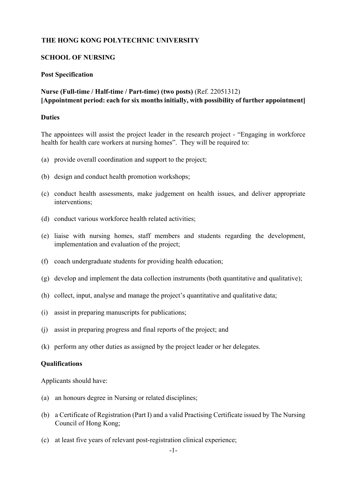# **THE HONG KONG POLYTECHNIC UNIVERSITY**

## **SCHOOL OF NURSING**

### **Post Specification**

# **Nurse (Full-time / Half-time / Part-time) (two posts)** (Ref. 22051312) **[Appointment period: each for six months initially, with possibility of further appointment]**

### **Duties**

The appointees will assist the project leader in the research project - "Engaging in workforce health for health care workers at nursing homes". They will be required to:

- (a) provide overall coordination and support to the project;
- (b) design and conduct health promotion workshops;
- (c) conduct health assessments, make judgement on health issues, and deliver appropriate interventions;
- (d) conduct various workforce health related activities;
- (e) liaise with nursing homes, staff members and students regarding the development, implementation and evaluation of the project;
- (f) coach undergraduate students for providing health education;
- (g) develop and implement the data collection instruments (both quantitative and qualitative);
- (h) collect, input, analyse and manage the project's quantitative and qualitative data;
- (i) assist in preparing manuscripts for publications;
- (j) assist in preparing progress and final reports of the project; and
- (k) perform any other duties as assigned by the project leader or her delegates.

### **Qualifications**

Applicants should have:

- (a) an honours degree in Nursing or related disciplines;
- (b) a Certificate of Registration (Part I) and a valid Practising Certificate issued by The Nursing Council of Hong Kong;
- (c) at least five years of relevant post-registration clinical experience;